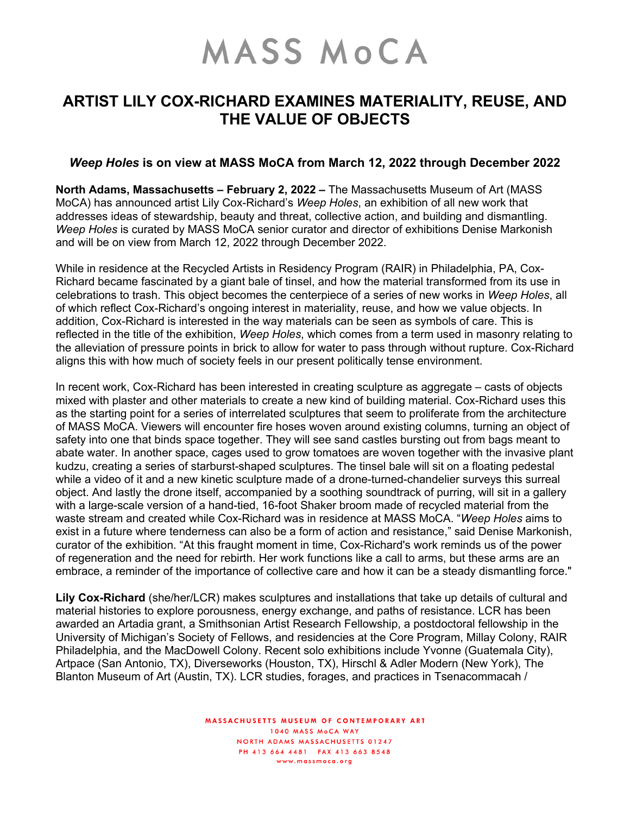## **MASS MOCA**

## **ARTIST LILY COX-RICHARD EXAMINES MATERIALITY, REUSE, AND THE VALUE OF OBJECTS**

## *Weep Holes* **is on view at MASS MoCA from March 12, 2022 through December 2022**

**North Adams, Massachusetts – February 2, 2022 –** The Massachusetts Museum of Art (MASS MoCA) has announced artist Lily Cox-Richard's *Weep Holes*, an exhibition of all new work that addresses ideas of stewardship, beauty and threat, collective action, and building and dismantling. *Weep Holes* is curated by MASS MoCA senior curator and director of exhibitions Denise Markonish and will be on view from March 12, 2022 through December 2022.

While in residence at the Recycled Artists in Residency Program (RAIR) in Philadelphia, PA, Cox-Richard became fascinated by a giant bale of tinsel, and how the material transformed from its use in celebrations to trash. This object becomes the centerpiece of a series of new works in *Weep Holes*, all of which reflect Cox-Richard's ongoing interest in materiality, reuse, and how we value objects. In addition, Cox-Richard is interested in the way materials can be seen as symbols of care. This is reflected in the title of the exhibition, *Weep Holes*, which comes from a term used in masonry relating to the alleviation of pressure points in brick to allow for water to pass through without rupture. Cox-Richard aligns this with how much of society feels in our present politically tense environment.

In recent work, Cox-Richard has been interested in creating sculpture as aggregate – casts of objects mixed with plaster and other materials to create a new kind of building material. Cox-Richard uses this as the starting point for a series of interrelated sculptures that seem to proliferate from the architecture of MASS MoCA. Viewers will encounter fire hoses woven around existing columns, turning an object of safety into one that binds space together. They will see sand castles bursting out from bags meant to abate water. In another space, cages used to grow tomatoes are woven together with the invasive plant kudzu, creating a series of starburst-shaped sculptures. The tinsel bale will sit on a floating pedestal while a video of it and a new kinetic sculpture made of a drone-turned-chandelier surveys this surreal object. And lastly the drone itself, accompanied by a soothing soundtrack of purring, will sit in a gallery with a large-scale version of a hand-tied, 16-foot Shaker broom made of recycled material from the waste stream and created while Cox-Richard was in residence at MASS MoCA. "*Weep Holes* aims to exist in a future where tenderness can also be a form of action and resistance," said Denise Markonish, curator of the exhibition. "At this fraught moment in time, Cox-Richard's work reminds us of the power of regeneration and the need for rebirth. Her work functions like a call to arms, but these arms are an embrace, a reminder of the importance of collective care and how it can be a steady dismantling force."

**Lily Cox-Richard** (she/her/LCR) makes sculptures and installations that take up details of cultural and material histories to explore porousness, energy exchange, and paths of resistance. LCR has been awarded an Artadia grant, a Smithsonian Artist Research Fellowship, a postdoctoral fellowship in the University of Michigan's Society of Fellows, and residencies at the Core Program, Millay Colony, RAIR Philadelphia, and the MacDowell Colony. Recent solo exhibitions include Yvonne (Guatemala City), Artpace (San Antonio, TX), Diverseworks (Houston, TX), Hirschl & Adler Modern (New York), The Blanton Museum of Art (Austin, TX). LCR studies, forages, and practices in Tsenacommacah /

> MASSACHUSETTS MUSEUM OF CONTEMPORARY ART 1040 MASS MoCA WAY NORTH ADAMS MASSACHUSETTS 01247 PH 413 664 4481 FAX 413 663 8548 www.massmoca.org